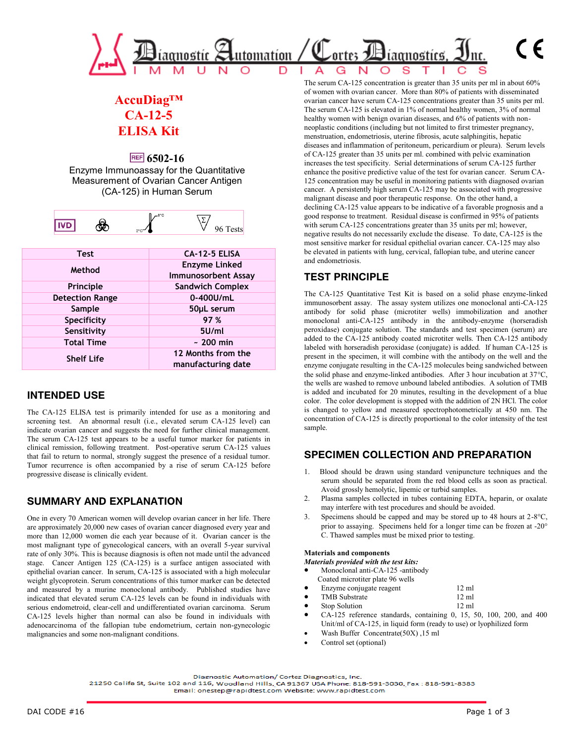

# **AccuDiag™ CA-12-5 ELISA Kit**

# **FREF** 6502-16

Enzyme Immunoassay for the Quantitative Measurement of Ovarian Cancer Antigen (CA-125) in Human Serum

|--|

| Test                   | <b>LA-12-5 ELISA</b>       |
|------------------------|----------------------------|
| Method                 | <b>Enzyme Linked</b>       |
|                        | <b>Immunosorbent Assay</b> |
| Principle              | <b>Sandwich Complex</b>    |
| <b>Detection Range</b> | 0-400U/mL                  |
| Sample                 | 50µL serum                 |
| Specificity            | 97 %                       |
| Sensitivity            | 5U/ml                      |
| <b>Total Time</b>      | $\sim$ 200 min             |
| <b>Shelf Life</b>      | 12 Months from the         |
|                        | manufacturing date         |

# **INTENDED USE**

The CA-125 ELISA test is primarily intended for use as a monitoring and screening test. An abnormal result (i.e., elevated serum CA-125 level) can indicate ovarian cancer and suggests the need for further clinical management. The serum CA-125 test appears to be a useful tumor marker for patients in clinical remission, following treatment. Post-operative serum CA-125 values that fail to return to normal, strongly suggest the presence of a residual tumor. Tumor recurrence is often accompanied by a rise of serum CA-125 before progressive disease is clinically evident.

# **SUMMARY AND EXPLANATION**

One in every 70 American women will develop ovarian cancer in her life. There are approximately 20,000 new cases of ovarian cancer diagnosed every year and more than 12,000 women die each year because of it. Ovarian cancer is the most malignant type of gynecological cancers, with an overall 5-year survival rate of only 30%. This is because diagnosis is often not made until the advanced stage. Cancer Antigen 125 (CA-125) is a surface antigen associated with epithelial ovarian cancer. In serum, CA-125 is associated with a high molecular weight glycoprotein. Serum concentrations of this tumor marker can be detected and measured by a murine monoclonal antibody. Published studies have indicated that elevated serum CA-125 levels can be found in individuals with serious endometroid, clear-cell and undifferentiated ovarian carcinoma. Serum CA-125 levels higher than normal can also be found in individuals with adenocarcinoma of the fallopian tube endometrium, certain non-gynecologic malignancies and some non-malignant conditions.

The serum CA-125 concentration is greater than 35 units per ml in about 60% of women with ovarian cancer. More than 80% of patients with disseminated ovarian cancer have serum CA-125 concentrations greater than 35 units per ml. The serum CA-125 is elevated in 1% of normal healthy women, 3% of normal healthy women with benign ovarian diseases, and 6% of patients with nonneoplastic conditions (including but not limited to first trimester pregnancy, menstruation, endometriosis, uterine fibrosis, acute salphingitis, hepatic diseases and inflammation of peritoneum, pericardium or pleura). Serum levels of CA-125 greater than 35 units per ml. combined with pelvic examination increases the test specificity. Serial determinations of serum CA-125 further enhance the positive predictive value of the test for ovarian cancer. Serum CA-125 concentration may be useful in monitoring patients with diagnosed ovarian cancer. A persistently high serum CA-125 may be associated with progressive malignant disease and poor therapeutic response. On the other hand, a declining CA-125 value appears to be indicative of a favorable prognosis and a good response to treatment. Residual disease is confirmed in 95% of patients with serum CA-125 concentrations greater than 35 units per ml; however, negative results do not necessarily exclude the disease. To date, CA-125 is the most sensitive marker for residual epithelial ovarian cancer. CA-125 may also be elevated in patients with lung, cervical, fallopian tube, and uterine cancer and endometriosis.

# **TEST PRINCIPLE**

The CA-125 Quantitative Test Kit is based on a solid phase enzyme-linked immunosorbent assay. The assay system utilizes one monoclonal anti-CA-125 antibody for solid phase (microtiter wells) immobilization and another monoclonal anti-CA-125 antibody in the antibody-enzyme (horseradish peroxidase) conjugate solution. The standards and test specimen (serum) are added to the CA-125 antibody coated microtiter wells. Then CA-125 antibody labeled with horseradish peroxidase (conjugate) is added. If human CA-125 is present in the specimen, it will combine with the antibody on the well and the enzyme conjugate resulting in the CA-125 molecules being sandwiched between the solid phase and enzyme-linked antibodies. After 3 hour incubation at  $37^{\circ}$ C, the wells are washed to remove unbound labeled antibodies. A solution of TMB is added and incubated for 20 minutes, resulting in the development of a blue color. The color development is stopped with the addition of 2N HCl. The color is changed to yellow and measured spectrophotometrically at 450 nm. The concentration of CA-125 is directly proportional to the color intensity of the test sample.

# **SPECIMEN COLLECTION AND PREPARATION**

- 1. Blood should be drawn using standard venipuncture techniques and the serum should be separated from the red blood cells as soon as practical. Avoid grossly hemolytic, lipemic or turbid samples.
- 2. Plasma samples collected in tubes containing EDTA, heparin, or oxalate may interfere with test procedures and should be avoided.
- 3. Specimens should be capped and may be stored up to 48 hours at  $2-8^{\circ}C$ , prior to assaying. Specimens held for a longer time can be frozen at -20° C. Thawed samples must be mixed prior to testing.

#### **Materials and components**

- *Materials provided with the test kits:* Monoclonal anti-CA-125 -antibody
- Coated microtiter plate 96 wells
- 
- Enzyme conjugate reagent 12 ml<br>TMB Substrate 12 ml TMB Substrate
- Stop Solution 12 ml
- CA-125 reference standards, containing 0, 15, 50, 100, 200, and 400
- Unit/ml of CA-125, in liquid form (ready to use) or lyophilized form Wash Buffer Concentrate(50X) ,15 ml
- Control set (optional)

Diagnostic Automation/ Cortez Diagnostics, Inc.

21250 Califa St, Suite 102 and 116, Woodland Hills, CA 91367 USA Phone: 818-591-3030, Fax: 818-591-8383

Email: onestep@rapidtest.com Website: www.rapidtest.com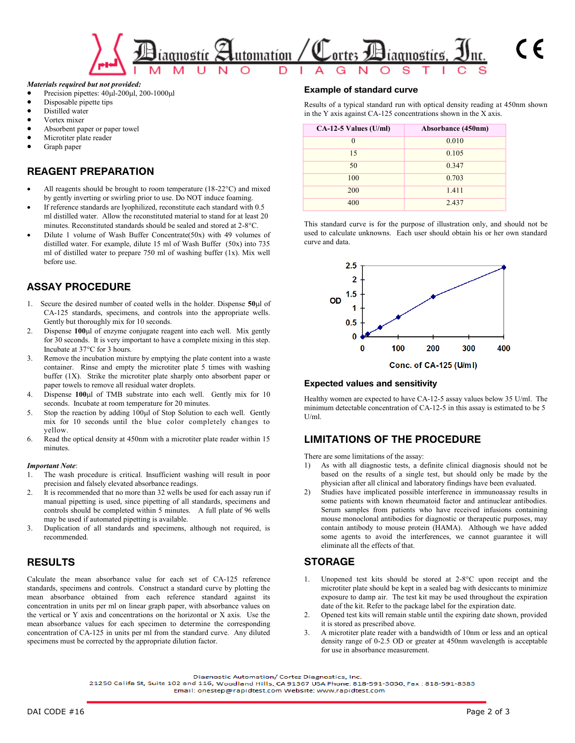

#### *Materials required but not provided:*

- Precision pipettes:  $40 \mu$ I-200 $\mu$ I, 200-1000 $\mu$ I
- Disposable pipette tips
- Distilled water
- Vortex mixer
- Absorbent paper or paper towel
- Microtiter plate reader
- Graph paper

#### **REAGENT PREPARATION**

- All reagents should be brought to room temperature  $(18-22^{\circ}C)$  and mixed by gently inverting or swirling prior to use. Do NOT induce foaming.
- If reference standards are lyophilized, reconstitute each standard with 0.5 ml distilled water. Allow the reconstituted material to stand for at least 20 minutes. Reconstituted standards should be sealed and stored at 2-8 °C.
- Dilute 1 volume of Wash Buffer Concentrate(50x) with 49 volumes of distilled water. For example, dilute 15 ml of Wash Buffer (50x) into 735 ml of distilled water to prepare 750 ml of washing buffer (1x). Mix well before use.

### **ASSAY PROCEDURE**

- 1. Secure the desired number of coated wells in the holder. Dispense  $50\mu$ l of CA-125 standards, specimens, and controls into the appropriate wells. Gently but thoroughly mix for 10 seconds.
- 2. Dispense 100µl of enzyme conjugate reagent into each well. Mix gently for 30 seconds. It is very important to have a complete mixing in this step. Incubate at 37°C for 3 hours.
- 3. Remove the incubation mixture by emptying the plate content into a waste container. Rinse and empty the microtiter plate 5 times with washing buffer (1X). Strike the microtiter plate sharply onto absorbent paper or paper towels to remove all residual water droplets.
- 4. Dispense **100**l of TMB substrate into each well. Gently mix for 10 seconds. Incubate at room temperature for 20 minutes.
- 5. Stop the reaction by adding 100µl of Stop Solution to each well. Gently mix for 10 seconds until the blue color completely changes to yellow.
- 6. Read the optical density at 450nm with a microtiter plate reader within 15 minutes.

#### *Important Note*:

- The wash procedure is critical. Insufficient washing will result in poor precision and falsely elevated absorbance readings.
- 2. It is recommended that no more than 32 wells be used for each assay run if manual pipetting is used, since pipetting of all standards, specimens and controls should be completed within 5 minutes. A full plate of 96 wells may be used if automated pipetting is available.
- 3. Duplication of all standards and specimens, although not required, is recommended.

#### **RESULTS**

Calculate the mean absorbance value for each set of CA-125 reference standards, specimens and controls. Construct a standard curve by plotting the mean absorbance obtained from each reference standard against its concentration in units per ml on linear graph paper, with absorbance values on the vertical or Y axis and concentrations on the horizontal or X axis. Use the mean absorbance values for each specimen to determine the corresponding concentration of CA-125 in units per ml from the standard curve. Any diluted specimens must be corrected by the appropriate dilution factor.

#### **Example of standard curve**

Results of a typical standard run with optical density reading at 450nm shown in the Y axis against CA-125 concentrations shown in the X axis.

| $CA-12-5$ Values (U/ml) | Absorbance (450nm) |
|-------------------------|--------------------|
| $\theta$                | 0.010              |
| 15                      | 0.105              |
| 50                      | 0.347              |
| 100                     | 0.703              |
| 200                     | 1.411              |
| 400                     | 2.437              |

This standard curve is for the purpose of illustration only, and should not be used to calculate unknowns. Each user should obtain his or her own standard curve and data.



#### **Expected values and sensitivity**

Healthy women are expected to have CA-12-5 assay values below 35 U/ml. The minimum detectable concentration of CA-12-5 in this assay is estimated to be 5  $U/ml$ 

#### **LIMITATIONS OF THE PROCEDURE**

There are some limitations of the assay:

- 1) As with all diagnostic tests, a definite clinical diagnosis should not be based on the results of a single test, but should only be made by the physician after all clinical and laboratory findings have been evaluated.
- 2) Studies have implicated possible interference in immunoassay results in some patients with known rheumatoid factor and antinuclear antibodies. Serum samples from patients who have received infusions containing mouse monoclonal antibodies for diagnostic or therapeutic purposes, may contain antibody to mouse protein (HAMA). Although we have added some agents to avoid the interferences, we cannot guarantee it will eliminate all the effects of that.

#### **STORAGE**

- Unopened test kits should be stored at 2-8°C upon receipt and the microtiter plate should be kept in a sealed bag with desiccants to minimize exposure to damp air. The test kit may be used throughout the expiration date of the kit. Refer to the package label for the expiration date.
- 2. Opened test kits will remain stable until the expiring date shown, provided it is stored as prescribed above.
- 3. A microtiter plate reader with a bandwidth of 10nm or less and an optical density range of 0-2.5 OD or greater at 450nm wavelength is acceptable for use in absorbance measurement.

Diagnostic Automation/ Cortez Diagnostics, Inc.

21250 Califa St, Suite 102 and 116, Woodland Hills, CA 91367 USA Phone: 818-591-3030, Fax : 818-591-8383

Email: onestep@rapidtest.com Website: www.rapidtest.com